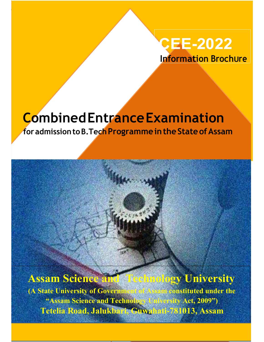## CEE-2022 Information BrochUre

CEE-2019 CEE-2019 CEE-2019

ASSAM

# Combined Entrance Examination

for admission to B. Tech Programme in the State of Assam

(A State University of Government of Assam constituted under the "Assam Science and Technology University Act, 2009") Tetelia Road, Jalukbari, Guwahati-781013, Assam

## Assam Science and Technology University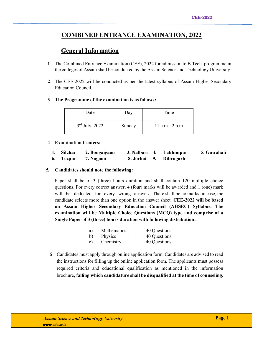## COMBINED ENTRANCE EXAMINATION, 2022

## General Information

- 1. The Combined Entrance Examination (CEE), 2022 for admission to B.Tech. programme in the colleges of Assam shall be conducted by the Assam Science and Technology University.
- 2. The CEE-2022 will be conducted as per the latest syllabus of Assam Higher Secondary Education Council.
- 3. The Programme of the examination is as follows:

| Date             | Day    | Time               |
|------------------|--------|--------------------|
| $3rd$ July, 2022 | Sunday | $11$ a.m $- 2$ p.m |

#### 4. Examination Centers:

|  | 1. Silchar 2. Bongaigaon |  | 3. Nalbari 4. Lakhimpur | 5. Guwahati |
|--|--------------------------|--|-------------------------|-------------|
|  | 6. Tezpur 7. Nagaon      |  | 8. Jorhat 9. Dibrugarh  |             |

#### 5. Candidates should note the following:

Paper shall be of 3 (three) hours duration and shall contain 120 multiple choice questions. For every correct answer, 4 (four) marks will be awarded and 1 (one) mark will be deducted for every wrong answer. There shall be no marks, in case, the candidate selects more than one option in the answer sheet. CEE-2022 will be based on Assam Higher Secondary Education Council (AHSEC) Syllabus. The examination will be Multiple Choice Questions (MCQ) type and comprise of a Single Paper of 3 (three) hours duration with following distribution:

| a)             | <b>Mathematics</b> | 40 Questions |
|----------------|--------------------|--------------|
| $\mathbf{b}$   | Physics            | 40 Questions |
| $\mathbf{c}$ ) | Chemistry          | 40 Questions |

6. Candidates must apply through online application form. Candidates are advised to read the instructions for filling up the online application form. The applicants must possess required criteria and educational qualification as mentioned in the information brochure, failing which candidature shall be disqualified at the time of counseling.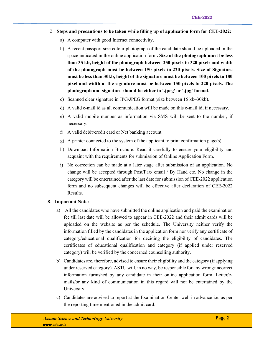- 7. Steps and precautions to be taken while filling up of application form for CEE-2022:
	- a) A computer with good Internet connectivity.
	- b) A recent passport size colour photograph of the candidate should be uploaded in the space indicated in the online application form. Size of the photograph must be less than 35 kb, height of the photograph between 250 pixels to 320 pixels and width of the photograph must be between 150 pixels to 220 pixels. Size of Signature must be less than 30kb, height of the signature must be between 100 pixels to 180 pixel and width of the signature must be between 150 pixels to 220 pixels. The photograph and signature should be either in '.jpeg' or '.jpg' format.
	- c) Scanned clear signature in JPG/JPEG format (size between 15 kb–30kb).
	- d) A valid e-mail id as all communication will be made on this e-mail id, if necessary.
	- e) A valid mobile number as information via SMS will be sent to the number, if necessary.
	- f) A valid debit/credit card or Net banking account.
	- g) A printer connected to the system of the applicant to print confirmation page(s).
	- h) Download Information Brochure. Read it carefully to ensure your eligibility and acquaint with the requirements for submission of Online Application Form.
	- i) No correction can be made at a later stage after submission of an application. No change will be accepted through Post/Fax/ email / By Hand etc. No change in the category will be entertained after the last date for submission of CEE-2022 application form and no subsequent changes will be effective after declaration of CEE-2022 Results.

#### 8. Important Note:

- a) All the candidates who have submitted the online application and paid the examination fee till last date will be allowed to appear in CEE-2022 and their admit cards will be uploaded on the website as per the schedule. The University neither verify the information filled by the candidates in the application form nor verify any certificate of category/educational qualification for deciding the eligibility of candidates. The certificates of educational qualification and category (if applied under reserved category) will be verified by the concerned counselling authority.
- b) Candidates are, therefore, advised to ensure their eligibility and the category (if applying under reserved category). ASTU will, in no way, be responsible for any wrong/incorrect information furnished by any candidate in their online application form. Letter/emails/or any kind of communication in this regard will not be entertained by the University.
- c) Candidates are advised to report at the Examination Center well in advance i.e. as per the reporting time mentioned in the admit card.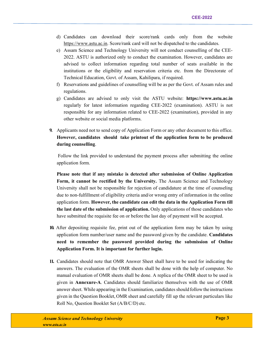- d) Candidates can download their score/rank cards only from the website https://www.astu.ac.in. Score/rank card will not be dispatched to the candidates.
- e) Assam Science and Technology University will not conduct counselling of the CEE-2022. ASTU is authorized only to conduct the examination. However, candidates are advised to collect information regarding total number of seats available in the institutions or the eligibility and reservation criteria etc. from the Directorate of Technical Education, Govt. of Assam, Kahilipara, if required.
- f) Reservations and guidelines of counselling will be as per the Govt. of Assam rules and regulations.
- g) Candidates are advised to only visit the ASTU website: https://www.astu.ac.in regularly for latest information regarding CEE-2022 (examination). ASTU is not responsible for any information related to CEE-2022 (examination), provided in any other website or social media platforms.
- 9. Applicants need not to send copy of Application Form or any other document to this office. However, candidates should take printout of the application form to be produced during counselling.

 Follow the link provided to understand the payment process after submitting the online application form.

Please note that if any mistake is detected after submission of Online Application Form, it cannot be rectified by the University. The Assam Science and Technology University shall not be responsible for rejection of candidature at the time of counseling due to non-fulfillment of eligibility criteria and/or wrong entry of information in the online application form. However, the candidate can edit the data in the Application Form till the last date of the submission of application. Only applications of those candidates who have submitted the requisite fee on or before the last day of payment will be accepted.

- 10. After depositing requisite fee, print out of the application form may be taken by using application form number/user name and the password given by the candidate. Candidates need to remember the password provided during the submission of Online Application Form. It is important for further login.
- 11. Candidates should note that OMR Answer Sheet shall have to be used for indicating the answers. The evaluation of the OMR sheets shall be done with the help of computer. No manual evaluation of OMR sheets shall be done. A replica of the OMR sheet to be used is given in Annexure-A. Candidates should familiarize themselves with the use of OMR answer sheet. While appearing in the Examination, candidates should follow the instructions given in the Question Booklet, OMR sheet and carefully fill up the relevant particulars like Roll No, Question Booklet Set (A/B/C/D) etc.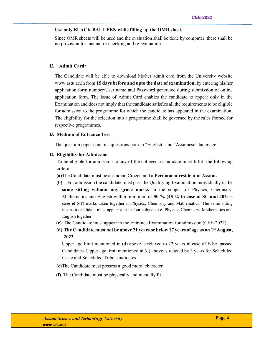#### Use only BLACK BALL PEN while filling up the OMR sheet.

Since OMR sheets will be used and the evaluation shall be done by computer, there shall be no provision for manual re-checking and re-evaluation.

#### 12. Admit Card:

The Candidate will be able to download his/her admit card from the University website www.astu.ac.in from 15 days before and upto the date of examination, by entering his/her application form number/User name and Password generated during submission of online application form. The issue of Admit Card enables the candidate to appear only in the Examination and does not imply that the candidate satisfies all the requirements to be eligible for admission to the programme for which the candidate has appeared in the examination. The eligibility for the selection into a programme shall be governed by the rules framed for respective programmes.

#### 13. Medium of Entrance Test

The question paper contains questions both in "English" and "Assamese" language.

#### 14. Eligibility for Admission

To be eligible for admission to any of the colleges a candidate must fulfill the following criteria:

(a)The Candidate must be an Indian Citizen and a Permanent resident of Assam.

- (b) For admission the candidate must pass the Qualifying Examination individually in the same sitting without any grace marks in the subject of Physics, Chemistry, Mathematics and English with a minimum of 50 % (45 % in case of SC and 40% in case of ST) marks taken together in Physics, Chemistry and Mathematics. The same sitting means a candidate must appear all the four subjects i.e. Physics, Chemistry, Mathematics and English together.
- (c) The Candidate must appear in the Entrance Examination for admission (CEE-2022).
- (d) The Candidate must not be above 21 years or below 17 years of age as on  $1<sup>st</sup>$  August, 2022.

 Upper age limit mentioned in (d) above is relaxed to 22 years in case of B.Sc. passed Candidates. Upper age limit mentioned in (d) above is relaxed by 3 years for Scheduled Caste and Scheduled Tribe candidates.

- (e)The Candidate must possess a good moral character.
- (f) The Candidate must be physically and mentally fit.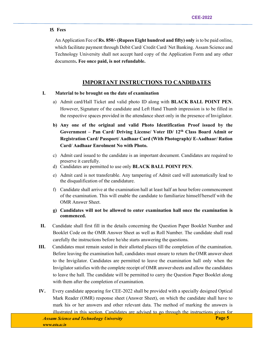#### 15. Fees

An Application Fee of **Rs. 850/-** (Rupees Eight hundred and fifty) only is to be paid online, which facilitate payment through Debit Card/ Credit Card/ Net Banking. Assam Science and Technology University shall not accept hard copy of the Application Form and any other documents. Fee once paid, is not refundable.

### IMPORTANT INSTRUCTIONS TO CANDIDATES

#### I. Material to be brought on the date of examination

- a) Admit card/Hall Ticket and valid photo ID along with BLACK BALL POINT PEN. However, Signature of the candidate and Left Hand Thumb impression is to be filled in the respective spaces provided in the attendance sheet only in the presence of Invigilator.
- b) Any one of the original and valid Photo Identification Proof issued by the Government – Pan Card/ Driving License/ Voter ID/ 12th Class Board Admit or Registration Card/ Passport/ Aadhaar Card (With Photograph)/ E-Aadhaar/ Ration Card/ Aadhaar Enrolment No with Photo.
- c) Admit card issued to the candidate is an important document. Candidates are required to preserve it carefully.
- d) Candidates are permitted to use only BLACK BALL POINT PEN.
- e) Admit card is not transferable. Any tampering of Admit card will automatically lead to the disqualification of the candidature.
- f) Candidate shall arrive at the examination hall at least half an hour before commencement of the examination. This will enable the candidate to familiarize himself/herself with the OMR Answer Sheet.
- g) Candidates will not be allowed to enter examination hall once the examination is commenced.
- II. Candidate shall first fill in the details concerning the Question Paper Booklet Number and Booklet Code on the OMR Answer Sheet as well as Roll Number. The candidate shall read carefully the instructions before he/she starts answering the questions.
- III. Candidates must remain seated in their allotted places till the completion of the examination. Before leaving the examination hall, candidates must ensure to return the OMR answer sheet to the Invigilator. Candidates are permitted to leave the examination hall only when the Invigilator satisfies with the complete receipt of OMR answer sheets and allow the candidates to leave the hall. The candidate will be permitted to carry the Question Paper Booklet along with them after the completion of examination.
- IV. Every candidate appearing for CEE-2022 shall be provided with a specially designed Optical Mark Reader (OMR) response sheet (Answer Sheet), on which the candidate shall have to mark his or her answers and other relevant data. The method of marking the answers is illustrated in this section. Candidates are advised to go through the instructions given for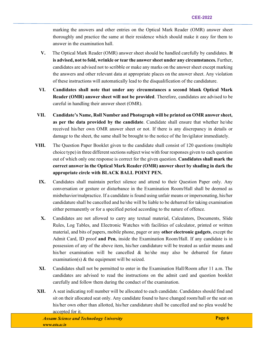marking the answers and other entries on the Optical Mark Reader (OMR) answer sheet thoroughly and practice the same at their residence which should make it easy for them to answer in the examination hall.

- V. The Optical Mark Reader (OMR) answer sheet should be handled carefully by candidates. It is advised, not to fold, wrinkle or tear the answer sheet under any circumstances. Further, candidates are advised not to scribble or make any marks on the answer sheet except marking the answers and other relevant data at appropriate places on the answer sheet. Any violation of these instructions will automatically lead to the disqualification of the candidature.
- VI. Candidates shall note that under any circumstances a second blank Optical Mark Reader (OMR) answer sheet will not be provided. Therefore, candidates are advised to be careful in handling their answer sheet (OMR).
- VII. Candidate's Name, Roll Number and Photograph will be printed on OMR answer sheet, as per the data provided by the candidate. Candidate shall ensure that whether he/she received his/her own OMR answer sheet or not. If there is any discrepancy in details or damage to the sheet, the same shall be brought to the notice of the Invigilator immediately.
- VIII. The Question Paper Booklet given to the candidate shall consist of 120 questions (multiple choice type) in three different sections subject wise with four responses given to each question out of which only one response is correct for the given question. Candidates shall mark the correct answer in the Optical Mark Reader (OMR) answer sheet by shading in dark the appropriate circle with BLACK BALL POINT PEN.
	- IX. Candidates shall maintain perfect silence and attend to their Question Paper only. Any conversation or gesture or disturbance in the Examination Room/Hall shall be deemed as misbehavior/malpractice. If a candidate is found using unfair means or impersonating, his/her candidature shall be cancelled and he/she will be liable to be debarred for taking examination either permanently or for a specified period according to the nature of offence.
	- X. Candidates are not allowed to carry any textual material, Calculators, Documents, Slide Rules, Log Tables, and Electronic Watches with facilities of calculator, printed or written material, and bits of papers, mobile phone, pager or any other electronic gadgets, except the Admit Card, ID proof and Pen, inside the Examination Room/Hall. If any candidate is in possession of any of the above item, his/her candidature will be treated as unfair means and his/her examination will be cancelled & he/she may also be debarred for future examination(s) & the equipment will be seized.
	- XI. Candidates shall not be permitted to enter in the Examination Hall/Room after 11 a.m. The candidates are advised to read the instructions on the admit card and question booklet carefully and follow them during the conduct of the examination.
- XII. A seat indicating roll number will be allocated to each candidate. Candidates should find and sit on their allocated seat only. Any candidate found to have changed room/hall or the seat on his/her own other than allotted, his/her candidature shall be cancelled and no plea would be accepted for it.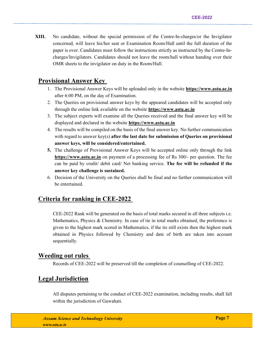XIII. No candidate, without the special permission of the Centre-In-charges/or the Invigilator concerned, will leave his/her seat or Examination Room/Hall until the full duration of the paper is over. Candidates must follow the instructions strictly as instructed by the Centre-Incharges/Invigilators. Candidates should not leave the room/hall without handing over their OMR sheets to the invigilator on duty in the Room/Hall.

## Provisional Answer Key

- 1. The Provisional Answer Keys will be uploaded only in the website https://www.astu.ac.in after 6:00 PM, on the day of Examination.
- 2. The Queries on provisional answer keys by the appeared candidates will be accepted only through the online link available on the website https://www.astu.ac.in
- 3. The subject experts will examine all the Queries received and the final answer key will be displayed and declared in the website https://www.astu.ac.in
- 4. The results will be compiled on the basis of the final answer key. No further communication with regard to answer key(s) after the last date for submission of Queries on provisional answer keys, will be considered/entertained.
- 5. The challenge of Provisional Answer Keys will be accepted online only through the link https://www.astu.ac.in on payment of a processing fee of Rs 300/- per question. The fee can be paid by credit/ debit card/ Net banking service. The fee will be refunded if the answer key challenge is sustained.
- 6. Decision of the University on the Queries shall be final and no further communication will be entertained.

## Criteria for ranking in CEE-2022

CEE-2022 Rank will be generated on the basis of total marks secured in all three subjects i.e. Mathematics, Physics & Chemistry. In case of tie in total marks obtained, the preference is given to the highest mark scored in Mathematics, if the tie still exists then the highest mark obtained in Physics followed by Chemistry and date of birth are taken into account sequentially.

### Weeding out rules

Records of CEE-2022 will be preserved till the completion of counselling of CEE-2022.

## Legal Jurisdiction

All disputes pertaining to the conduct of CEE-2022 examination, including results, shall fall within the jurisdiction of Guwahati.